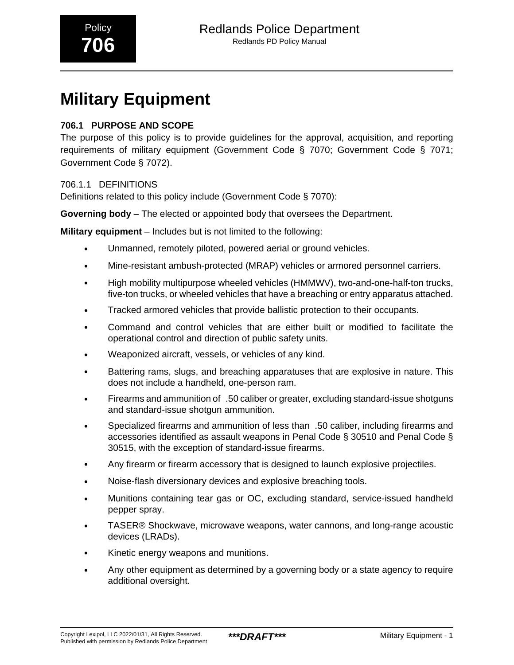# **Military Equipment**

# **706.1 PURPOSE AND SCOPE**

The purpose of this policy is to provide guidelines for the approval, acquisition, and reporting requirements of military equipment (Government Code § 7070; Government Code § 7071; Government Code § 7072).

# 706.1.1 DEFINITIONS

Definitions related to this policy include (Government Code § 7070):

**Governing body** – The elected or appointed body that oversees the Department.

**Military equipment** – Includes but is not limited to the following:

- Unmanned, remotely piloted, powered aerial or ground vehicles.
- Mine-resistant ambush-protected (MRAP) vehicles or armored personnel carriers.
- High mobility multipurpose wheeled vehicles (HMMWV), two-and-one-half-ton trucks, five-ton trucks, or wheeled vehicles that have a breaching or entry apparatus attached.
- Tracked armored vehicles that provide ballistic protection to their occupants.
- Command and control vehicles that are either built or modified to facilitate the operational control and direction of public safety units.
- Weaponized aircraft, vessels, or vehicles of any kind.
- Battering rams, slugs, and breaching apparatuses that are explosive in nature. This does not include a handheld, one-person ram.
- Firearms and ammunition of\_.50 caliber or greater, excluding standard-issue shotguns and standard-issue shotgun ammunition.
- Specialized firearms and ammunition of less than\_.50 caliber, including firearms and accessories identified as assault weapons in Penal Code § 30510 and Penal Code § 30515, with the exception of standard-issue firearms.
- Any firearm or firearm accessory that is designed to launch explosive projectiles.
- Noise-flash diversionary devices and explosive breaching tools.
- Munitions containing tear gas or OC, excluding standard, service-issued handheld pepper spray.
- TASER® Shockwave, microwave weapons, water cannons, and long-range acoustic devices (LRADs).
- Kinetic energy weapons and munitions.
- Any other equipment as determined by a governing body or a state agency to require additional oversight.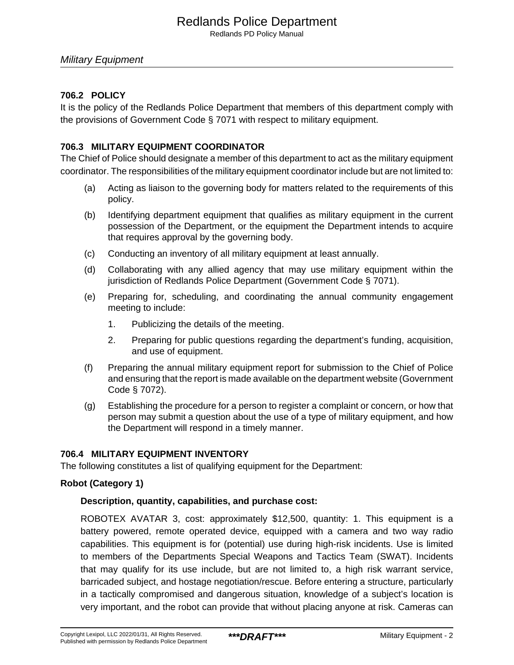Redlands PD Policy Manual

# **706.2 POLICY**

It is the policy of the Redlands Police Department that members of this department comply with the provisions of Government Code § 7071 with respect to military equipment.

# **706.3 MILITARY EQUIPMENT COORDINATOR**

The Chief of Police should designate a member of this department to act as the military equipment coordinator. The responsibilities of the military equipment coordinator include but are not limited to:

- (a) Acting as liaison to the governing body for matters related to the requirements of this policy.
- (b) Identifying department equipment that qualifies as military equipment in the current possession of the Department, or the equipment the Department intends to acquire that requires approval by the governing body.
- (c) Conducting an inventory of all military equipment at least annually.
- (d) Collaborating with any allied agency that may use military equipment within the jurisdiction of Redlands Police Department (Government Code § 7071).
- (e) Preparing for, scheduling, and coordinating the annual community engagement meeting to include:
	- 1. Publicizing the details of the meeting.
	- 2. Preparing for public questions regarding the department's funding, acquisition, and use of equipment.
- (f) Preparing the annual military equipment report for submission to the Chief of Police and ensuring that the report is made available on the department website (Government Code § 7072).
- (g) Establishing the procedure for a person to register a complaint or concern, or how that person may submit a question about the use of a type of military equipment, and how the Department will respond in a timely manner.

# **706.4 MILITARY EQUIPMENT INVENTORY**

The following constitutes a list of qualifying equipment for the Department:

# **Robot (Category 1)**

# **Description, quantity, capabilities, and purchase cost:**

ROBOTEX AVATAR 3, cost: approximately \$12,500, quantity: 1. This equipment is a battery powered, remote operated device, equipped with a camera and two way radio capabilities. This equipment is for (potential) use during high-risk incidents. Use is limited to members of the Departments Special Weapons and Tactics Team (SWAT). Incidents that may qualify for its use include, but are not limited to, a high risk warrant service, barricaded subject, and hostage negotiation/rescue. Before entering a structure, particularly in a tactically compromised and dangerous situation, knowledge of a subject's location is very important, and the robot can provide that without placing anyone at risk. Cameras can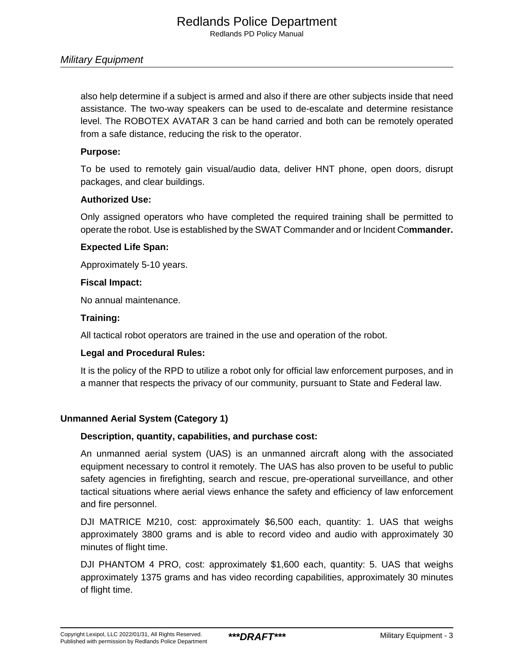also help determine if a subject is armed and also if there are other subjects inside that need assistance. The two-way speakers can be used to de-escalate and determine resistance level. The ROBOTEX AVATAR 3 can be hand carried and both can be remotely operated from a safe distance, reducing the risk to the operator.

# **Purpose:**

To be used to remotely gain visual/audio data, deliver HNT phone, open doors, disrupt packages, and clear buildings.

#### **Authorized Use:**

Only assigned operators who have completed the required training shall be permitted to operate the robot. Use is established by the SWAT Commander and or Incident Co**mmander.**

#### **Expected Life Span:**

Approximately 5-10 years.

#### **Fiscal Impact:**

No annual maintenance.

#### **Training:**

All tactical robot operators are trained in the use and operation of the robot.

#### **Legal and Procedural Rules:**

It is the policy of the RPD to utilize a robot only for official law enforcement purposes, and in a manner that respects the privacy of our community, pursuant to State and Federal law.

# **Unmanned Aerial System (Category 1)**

# **Description, quantity, capabilities, and purchase cost:**

An unmanned aerial system (UAS) is an unmanned aircraft along with the associated equipment necessary to control it remotely. The UAS has also proven to be useful to public safety agencies in firefighting, search and rescue, pre-operational surveillance, and other tactical situations where aerial views enhance the safety and efficiency of law enforcement and fire personnel.

DJI MATRICE M210, cost: approximately \$6,500 each, quantity: 1. UAS that weighs approximately 3800 grams and is able to record video and audio with approximately 30 minutes of flight time.

DJI PHANTOM 4 PRO, cost: approximately \$1,600 each, quantity: 5. UAS that weighs approximately 1375 grams and has video recording capabilities, approximately 30 minutes of flight time.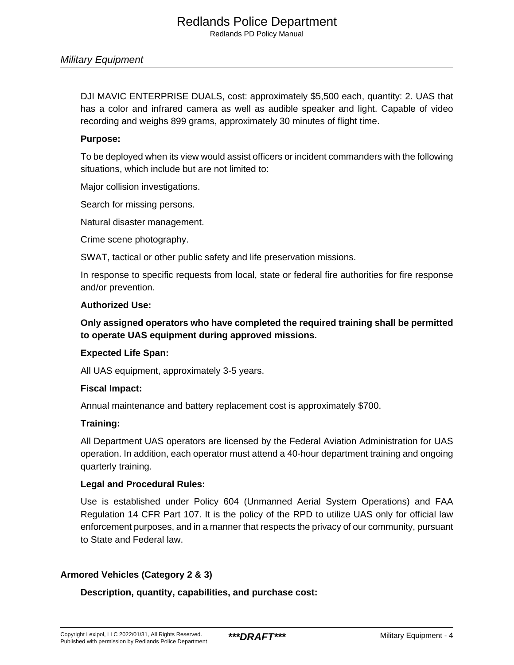DJI MAVIC ENTERPRISE DUALS, cost: approximately \$5,500 each, quantity: 2. UAS that has a color and infrared camera as well as audible speaker and light. Capable of video recording and weighs 899 grams, approximately 30 minutes of flight time.

#### **Purpose:**

To be deployed when its view would assist officers or incident commanders with the following situations, which include but are not limited to:

Major collision investigations.

Search for missing persons.

Natural disaster management.

Crime scene photography.

SWAT, tactical or other public safety and life preservation missions.

In response to specific requests from local, state or federal fire authorities for fire response and/or prevention.

#### **Authorized Use:**

**Only assigned operators who have completed the required training shall be permitted to operate UAS equipment during approved missions.**

#### **Expected Life Span:**

All UAS equipment, approximately 3-5 years.

#### **Fiscal Impact:**

Annual maintenance and battery replacement cost is approximately \$700.

#### **Training:**

All Department UAS operators are licensed by the Federal Aviation Administration for UAS operation. In addition, each operator must attend a 40-hour department training and ongoing quarterly training.

#### **Legal and Procedural Rules:**

Use is established under Policy 604 (Unmanned Aerial System Operations) and FAA Regulation 14 CFR Part 107. It is the policy of the RPD to utilize UAS only for official law enforcement purposes, and in a manner that respects the privacy of our community, pursuant to State and Federal law.

#### **Armored Vehicles (Category 2 & 3)**

### **Description, quantity, capabilities, and purchase cost:**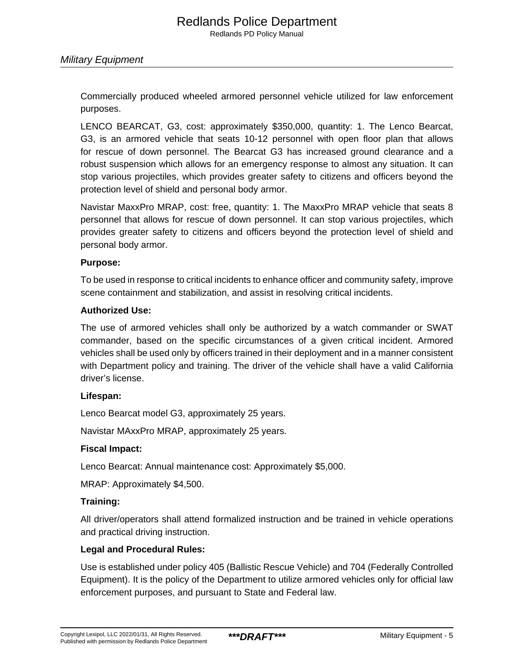Commercially produced wheeled armored personnel vehicle utilized for law enforcement purposes.

LENCO BEARCAT, G3, cost: approximately \$350,000, quantity: 1. The Lenco Bearcat, G3, is an armored vehicle that seats 10-12 personnel with open floor plan that allows for rescue of down personnel. The Bearcat G3 has increased ground clearance and a robust suspension which allows for an emergency response to almost any situation. It can stop various projectiles, which provides greater safety to citizens and officers beyond the protection level of shield and personal body armor.

Navistar MaxxPro MRAP, cost: free, quantity: 1. The MaxxPro MRAP vehicle that seats 8 personnel that allows for rescue of down personnel. It can stop various projectiles, which provides greater safety to citizens and officers beyond the protection level of shield and personal body armor.

#### **Purpose:**

To be used in response to critical incidents to enhance officer and community safety, improve scene containment and stabilization, and assist in resolving critical incidents.

#### **Authorized Use:**

The use of armored vehicles shall only be authorized by a watch commander or SWAT commander, based on the specific circumstances of a given critical incident. Armored vehicles shall be used only by officers trained in their deployment and in a manner consistent with Department policy and training. The driver of the vehicle shall have a valid California driver's license.

#### **Lifespan:**

Lenco Bearcat model G3, approximately 25 years.

Navistar MAxxPro MRAP, approximately 25 years.

#### **Fiscal Impact:**

Lenco Bearcat: Annual maintenance cost: Approximately \$5,000.

MRAP: Approximately \$4,500.

#### **Training:**

All driver/operators shall attend formalized instruction and be trained in vehicle operations and practical driving instruction.

#### **Legal and Procedural Rules:**

Use is established under policy 405 (Ballistic Rescue Vehicle) and 704 (Federally Controlled Equipment). It is the policy of the Department to utilize armored vehicles only for official law enforcement purposes, and pursuant to State and Federal law.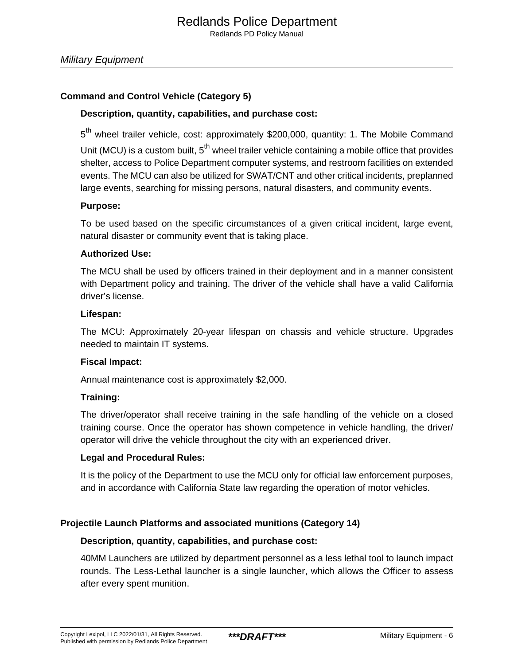# **Command and Control Vehicle (Category 5)**

#### **Description, quantity, capabilities, and purchase cost:**

5<sup>th</sup> wheel trailer vehicle, cost: approximately \$200,000, quantity: 1. The Mobile Command Unit (MCU) is a custom built,  $5<sup>th</sup>$  wheel trailer vehicle containing a mobile office that provides shelter, access to Police Department computer systems, and restroom facilities on extended events. The MCU can also be utilized for SWAT/CNT and other critical incidents, preplanned large events, searching for missing persons, natural disasters, and community events.

#### **Purpose:**

To be used based on the specific circumstances of a given critical incident, large event, natural disaster or community event that is taking place.

#### **Authorized Use:**

The MCU shall be used by officers trained in their deployment and in a manner consistent with Department policy and training. The driver of the vehicle shall have a valid California driver's license.

#### **Lifespan:**

The MCU: Approximately 20-year lifespan on chassis and vehicle structure. Upgrades needed to maintain IT systems.

#### **Fiscal Impact:**

Annual maintenance cost is approximately \$2,000.

#### **Training:**

The driver/operator shall receive training in the safe handling of the vehicle on a closed training course. Once the operator has shown competence in vehicle handling, the driver/ operator will drive the vehicle throughout the city with an experienced driver.

#### **Legal and Procedural Rules:**

It is the policy of the Department to use the MCU only for official law enforcement purposes, and in accordance with California State law regarding the operation of motor vehicles.

#### **Projectile Launch Platforms and associated munitions (Category 14)**

#### **Description, quantity, capabilities, and purchase cost:**

40MM Launchers are utilized by department personnel as a less lethal tool to launch impact rounds. The Less-Lethal launcher is a single launcher, which allows the Officer to assess after every spent munition.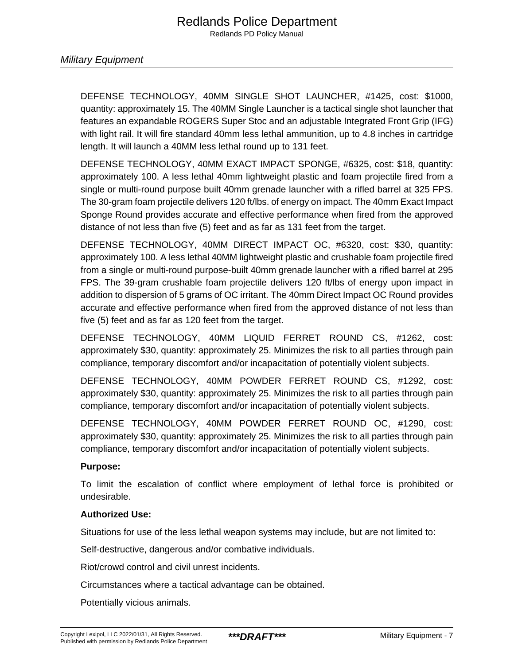DEFENSE TECHNOLOGY, 40MM SINGLE SHOT LAUNCHER, #1425, cost: \$1000, quantity: approximately 15. The 40MM Single Launcher is a tactical single shot launcher that features an expandable ROGERS Super Stoc and an adjustable Integrated Front Grip (IFG) with light rail. It will fire standard 40mm less lethal ammunition, up to 4.8 inches in cartridge length. It will launch a 40MM less lethal round up to 131 feet.

DEFENSE TECHNOLOGY, 40MM EXACT IMPACT SPONGE, #6325, cost: \$18, quantity: approximately 100. A less lethal 40mm lightweight plastic and foam projectile fired from a single or multi-round purpose built 40mm grenade launcher with a rifled barrel at 325 FPS. The 30-gram foam projectile delivers 120 ft/lbs. of energy on impact. The 40mm Exact Impact Sponge Round provides accurate and effective performance when fired from the approved distance of not less than five (5) feet and as far as 131 feet from the target.

DEFENSE TECHNOLOGY, 40MM DIRECT IMPACT OC, #6320, cost: \$30, quantity: approximately 100. A less lethal 40MM lightweight plastic and crushable foam projectile fired from a single or multi-round purpose-built 40mm grenade launcher with a rifled barrel at 295 FPS. The 39-gram crushable foam projectile delivers 120 ft/lbs of energy upon impact in addition to dispersion of 5 grams of OC irritant. The 40mm Direct Impact OC Round provides accurate and effective performance when fired from the approved distance of not less than five (5) feet and as far as 120 feet from the target.

DEFENSE TECHNOLOGY, 40MM LIQUID FERRET ROUND CS, #1262, cost: approximately \$30, quantity: approximately 25. Minimizes the risk to all parties through pain compliance, temporary discomfort and/or incapacitation of potentially violent subjects.

DEFENSE TECHNOLOGY, 40MM POWDER FERRET ROUND CS, #1292, cost: approximately \$30, quantity: approximately 25. Minimizes the risk to all parties through pain compliance, temporary discomfort and/or incapacitation of potentially violent subjects.

DEFENSE TECHNOLOGY, 40MM POWDER FERRET ROUND OC, #1290, cost: approximately \$30, quantity: approximately 25. Minimizes the risk to all parties through pain compliance, temporary discomfort and/or incapacitation of potentially violent subjects.

### **Purpose:**

To limit the escalation of conflict where employment of lethal force is prohibited or undesirable.

#### **Authorized Use:**

Situations for use of the less lethal weapon systems may include, but are not limited to:

Self-destructive, dangerous and/or combative individuals.

Riot/crowd control and civil unrest incidents.

Circumstances where a tactical advantage can be obtained.

Potentially vicious animals.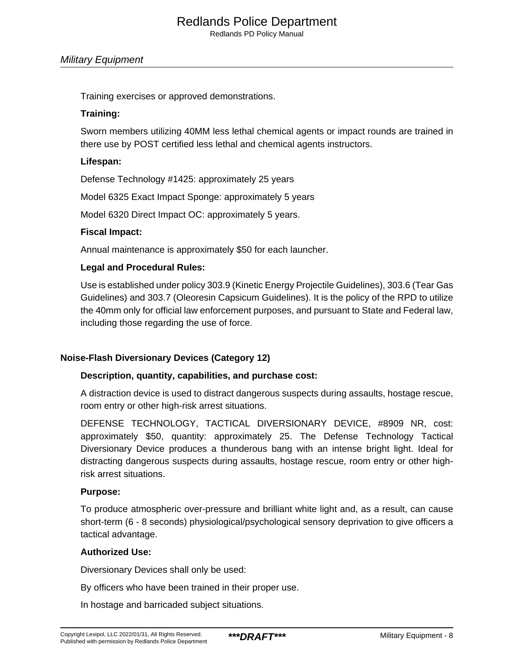Redlands PD Policy Manual

#### Military Equipment

Training exercises or approved demonstrations.

### **Training:**

Sworn members utilizing 40MM less lethal chemical agents or impact rounds are trained in there use by POST certified less lethal and chemical agents instructors.

# **Lifespan:**

Defense Technology #1425: approximately 25 years

Model 6325 Exact Impact Sponge: approximately 5 years

Model 6320 Direct Impact OC: approximately 5 years.

# **Fiscal Impact:**

Annual maintenance is approximately \$50 for each launcher.

# **Legal and Procedural Rules:**

Use is established under policy 303.9 (Kinetic Energy Projectile Guidelines), 303.6 (Tear Gas Guidelines) and 303.7 (Oleoresin Capsicum Guidelines). It is the policy of the RPD to utilize the 40mm only for official law enforcement purposes, and pursuant to State and Federal law, including those regarding the use of force.

# **Noise-Flash Diversionary Devices (Category 12)**

#### **Description, quantity, capabilities, and purchase cost:**

A distraction device is used to distract dangerous suspects during assaults, hostage rescue, room entry or other high-risk arrest situations.

DEFENSE TECHNOLOGY, TACTICAL DIVERSIONARY DEVICE, #8909 NR, cost: approximately \$50, quantity: approximately 25. The Defense Technology Tactical Diversionary Device produces a thunderous bang with an intense bright light. Ideal for distracting dangerous suspects during assaults, hostage rescue, room entry or other highrisk arrest situations.

#### **Purpose:**

To produce atmospheric over-pressure and brilliant white light and, as a result, can cause short-term (6 - 8 seconds) physiological/psychological sensory deprivation to give officers a tactical advantage.

#### **Authorized Use:**

Diversionary Devices shall only be used:

By officers who have been trained in their proper use.

In hostage and barricaded subject situations.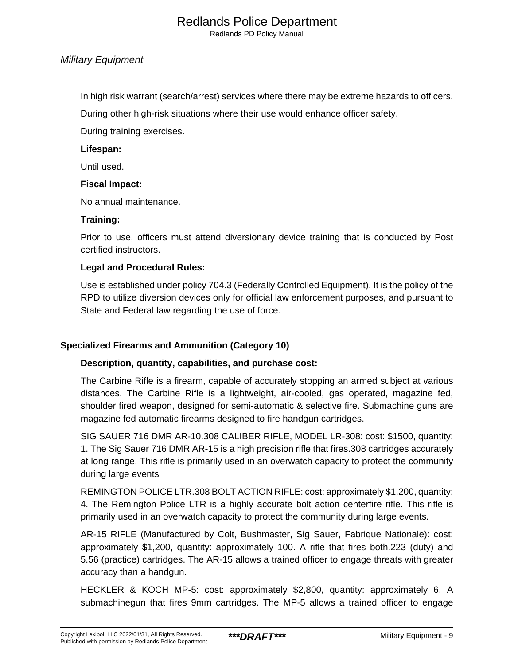Redlands PD Policy Manual

#### Military Equipment

In high risk warrant (search/arrest) services where there may be extreme hazards to officers.

During other high-risk situations where their use would enhance officer safety.

During training exercises.

#### **Lifespan:**

Until used.

#### **Fiscal Impact:**

No annual maintenance.

#### **Training:**

Prior to use, officers must attend diversionary device training that is conducted by Post certified instructors.

#### **Legal and Procedural Rules:**

Use is established under policy 704.3 (Federally Controlled Equipment). It is the policy of the RPD to utilize diversion devices only for official law enforcement purposes, and pursuant to State and Federal law regarding the use of force.

#### **Specialized Firearms and Ammunition (Category 10)**

#### **Description, quantity, capabilities, and purchase cost:**

The Carbine Rifle is a firearm, capable of accurately stopping an armed subject at various distances. The Carbine Rifle is a lightweight, air-cooled, gas operated, magazine fed, shoulder fired weapon, designed for semi-automatic & selective fire. Submachine guns are magazine fed automatic firearms designed to fire handgun cartridges.

SIG SAUER 716 DMR AR-10.308 CALIBER RIFLE, MODEL LR-308: cost: \$1500, quantity: 1. The Sig Sauer 716 DMR AR-15 is a high precision rifle that fires.308 cartridges accurately at long range. This rifle is primarily used in an overwatch capacity to protect the community during large events

REMINGTON POLICE LTR.308 BOLT ACTION RIFLE: cost: approximately \$1,200, quantity: 4. The Remington Police LTR is a highly accurate bolt action centerfire rifle. This rifle is primarily used in an overwatch capacity to protect the community during large events.

AR-15 RIFLE (Manufactured by Colt, Bushmaster, Sig Sauer, Fabrique Nationale): cost: approximately \$1,200, quantity: approximately 100. A rifle that fires both.223 (duty) and 5.56 (practice) cartridges. The AR-15 allows a trained officer to engage threats with greater accuracy than a handgun.

HECKLER & KOCH MP-5: cost: approximately \$2,800, quantity: approximately 6. A submachinegun that fires 9mm cartridges. The MP-5 allows a trained officer to engage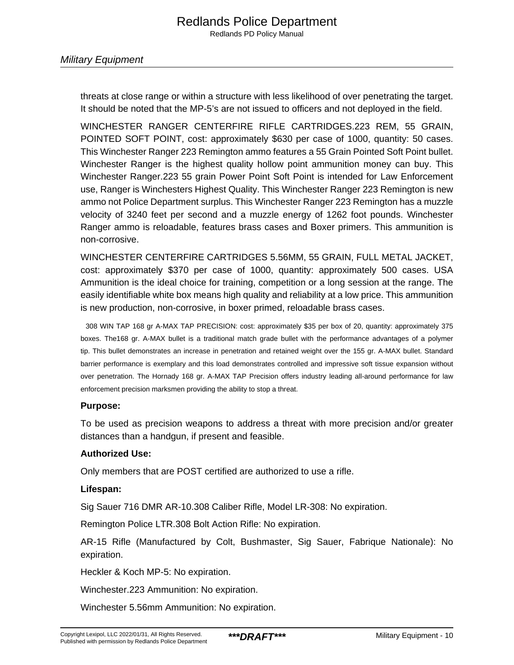threats at close range or within a structure with less likelihood of over penetrating the target. It should be noted that the MP-5's are not issued to officers and not deployed in the field.

WINCHESTER RANGER CENTERFIRE RIFLE CARTRIDGES.223 REM, 55 GRAIN, POINTED SOFT POINT, cost: approximately \$630 per case of 1000, quantity: 50 cases. This Winchester Ranger 223 Remington ammo features a 55 Grain Pointed Soft Point bullet. Winchester Ranger is the highest quality hollow point ammunition money can buy. This Winchester Ranger.223 55 grain Power Point Soft Point is intended for Law Enforcement use, Ranger is Winchesters Highest Quality. This Winchester Ranger 223 Remington is new ammo not Police Department surplus. This Winchester Ranger 223 Remington has a muzzle velocity of 3240 feet per second and a muzzle energy of 1262 foot pounds. Winchester Ranger ammo is reloadable, features brass cases and Boxer primers. This ammunition is non-corrosive.

WINCHESTER CENTERFIRE CARTRIDGES 5.56MM, 55 GRAIN, FULL METAL JACKET, cost: approximately \$370 per case of 1000, quantity: approximately 500 cases. USA Ammunition is the ideal choice for training, competition or a long session at the range. The easily identifiable white box means high quality and reliability at a low price. This ammunition is new production, non-corrosive, in boxer primed, reloadable brass cases.

308 WIN TAP 168 gr A-MAX TAP PRECISION: cost: approximately \$35 per box of 20, quantity: approximately 375 boxes. The168 gr. A-MAX bullet is a traditional match grade bullet with the performance advantages of a polymer tip. This bullet demonstrates an increase in penetration and retained weight over the 155 gr. A-MAX bullet. Standard barrier performance is exemplary and this load demonstrates controlled and impressive soft tissue expansion without over penetration. The Hornady 168 gr. A-MAX TAP Precision offers industry leading all-around performance for law enforcement precision marksmen providing the ability to stop a threat.

#### **Purpose:**

To be used as precision weapons to address a threat with more precision and/or greater distances than a handgun, if present and feasible.

#### **Authorized Use:**

Only members that are POST certified are authorized to use a rifle.

#### **Lifespan:**

Sig Sauer 716 DMR AR-10.308 Caliber Rifle, Model LR-308: No expiration.

Remington Police LTR.308 Bolt Action Rifle: No expiration.

AR-15 Rifle (Manufactured by Colt, Bushmaster, Sig Sauer, Fabrique Nationale): No expiration.

Heckler & Koch MP-5: No expiration.

Winchester.223 Ammunition: No expiration.

Winchester 5.56mm Ammunition: No expiration.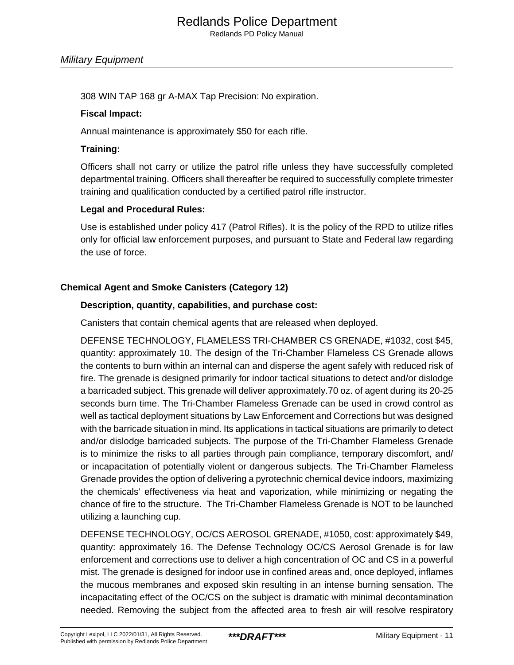Redlands PD Policy Manual

308 WIN TAP 168 gr A-MAX Tap Precision: No expiration.

#### **Fiscal Impact:**

Annual maintenance is approximately \$50 for each rifle.

#### **Training:**

Officers shall not carry or utilize the patrol rifle unless they have successfully completed departmental training. Officers shall thereafter be required to successfully complete trimester training and qualification conducted by a certified patrol rifle instructor.

#### **Legal and Procedural Rules:**

Use is established under policy 417 (Patrol Rifles). It is the policy of the RPD to utilize rifles only for official law enforcement purposes, and pursuant to State and Federal law regarding the use of force.

# **Chemical Agent and Smoke Canisters (Category 12)**

#### **Description, quantity, capabilities, and purchase cost:**

Canisters that contain chemical agents that are released when deployed.

DEFENSE TECHNOLOGY, FLAMELESS TRI-CHAMBER CS GRENADE, #1032, cost \$45, quantity: approximately 10. The design of the Tri-Chamber Flameless CS Grenade allows the contents to burn within an internal can and disperse the agent safely with reduced risk of fire. The grenade is designed primarily for indoor tactical situations to detect and/or dislodge a barricaded subject. This grenade will deliver approximately.70 oz. of agent during its 20-25 seconds burn time. The Tri-Chamber Flameless Grenade can be used in crowd control as well as tactical deployment situations by Law Enforcement and Corrections but was designed with the barricade situation in mind. Its applications in tactical situations are primarily to detect and/or dislodge barricaded subjects. The purpose of the Tri-Chamber Flameless Grenade is to minimize the risks to all parties through pain compliance, temporary discomfort, and/ or incapacitation of potentially violent or dangerous subjects. The Tri-Chamber Flameless Grenade provides the option of delivering a pyrotechnic chemical device indoors, maximizing the chemicals' effectiveness via heat and vaporization, while minimizing or negating the chance of fire to the structure. The Tri-Chamber Flameless Grenade is NOT to be launched utilizing a launching cup.

DEFENSE TECHNOLOGY, OC/CS AEROSOL GRENADE, #1050, cost: approximately \$49, quantity: approximately 16. The Defense Technology OC/CS Aerosol Grenade is for law enforcement and corrections use to deliver a high concentration of OC and CS in a powerful mist. The grenade is designed for indoor use in confined areas and, once deployed, inflames the mucous membranes and exposed skin resulting in an intense burning sensation. The incapacitating effect of the OC/CS on the subject is dramatic with minimal decontamination needed. Removing the subject from the affected area to fresh air will resolve respiratory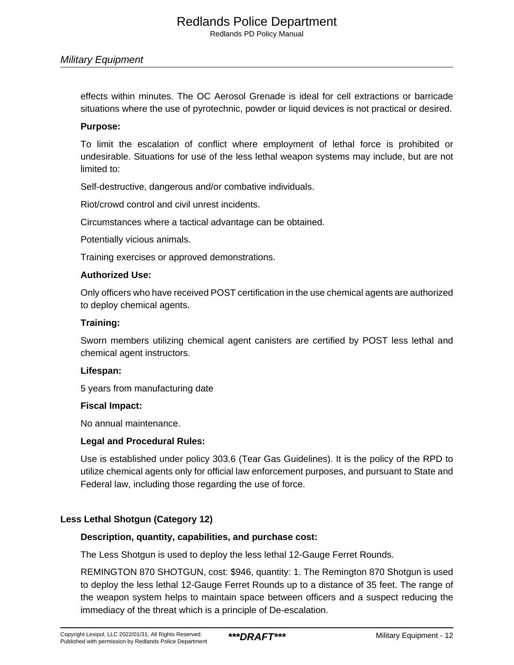#### Military Equipment

effects within minutes. The OC Aerosol Grenade is ideal for cell extractions or barricade situations where the use of pyrotechnic, powder or liquid devices is not practical or desired.

#### **Purpose:**

To limit the escalation of conflict where employment of lethal force is prohibited or undesirable. Situations for use of the less lethal weapon systems may include, but are not limited to:

Self-destructive, dangerous and/or combative individuals.

Riot/crowd control and civil unrest incidents.

Circumstances where a tactical advantage can be obtained.

Potentially vicious animals.

Training exercises or approved demonstrations.

#### **Authorized Use:**

Only officers who have received POST certification in the use chemical agents are authorized to deploy chemical agents.

#### **Training:**

Sworn members utilizing chemical agent canisters are certified by POST less lethal and chemical agent instructors.

#### **Lifespan:**

5 years from manufacturing date

#### **Fiscal Impact:**

No annual maintenance.

#### **Legal and Procedural Rules:**

Use is established under policy 303.6 (Tear Gas Guidelines). It is the policy of the RPD to utilize chemical agents only for official law enforcement purposes, and pursuant to State and Federal law, including those regarding the use of force.

#### **Less Lethal Shotgun (Category 12)**

#### **Description, quantity, capabilities, and purchase cost:**

The Less Shotgun is used to deploy the less lethal 12-Gauge Ferret Rounds.

REMINGTON 870 SHOTGUN, cost: \$946, quantity: 1. The Remington 870 Shotgun is used to deploy the less lethal 12-Gauge Ferret Rounds up to a distance of 35 feet. The range of the weapon system helps to maintain space between officers and a suspect reducing the immediacy of the threat which is a principle of De-escalation.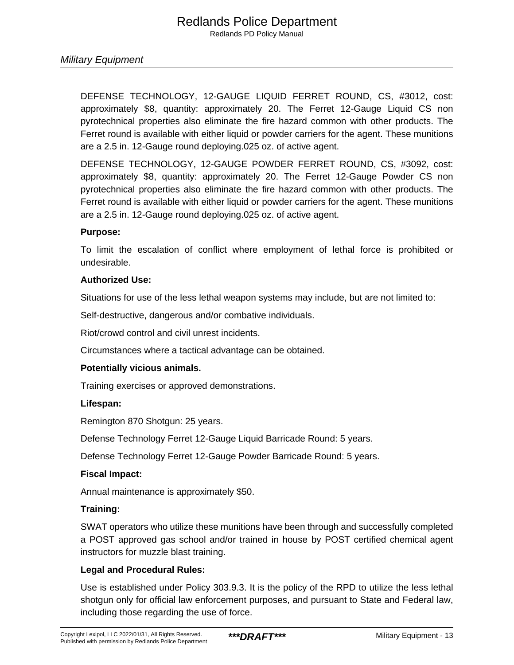DEFENSE TECHNOLOGY, 12-GAUGE LIQUID FERRET ROUND, CS, #3012, cost: approximately \$8, quantity: approximately 20. The Ferret 12-Gauge Liquid CS non pyrotechnical properties also eliminate the fire hazard common with other products. The Ferret round is available with either liquid or powder carriers for the agent. These munitions are a 2.5 in. 12-Gauge round deploying.025 oz. of active agent.

DEFENSE TECHNOLOGY, 12-GAUGE POWDER FERRET ROUND, CS, #3092, cost: approximately \$8, quantity: approximately 20. The Ferret 12-Gauge Powder CS non pyrotechnical properties also eliminate the fire hazard common with other products. The Ferret round is available with either liquid or powder carriers for the agent. These munitions are a 2.5 in. 12-Gauge round deploying.025 oz. of active agent.

#### **Purpose:**

To limit the escalation of conflict where employment of lethal force is prohibited or undesirable.

#### **Authorized Use:**

Situations for use of the less lethal weapon systems may include, but are not limited to:

Self-destructive, dangerous and/or combative individuals.

Riot/crowd control and civil unrest incidents.

Circumstances where a tactical advantage can be obtained.

#### **Potentially vicious animals.**

Training exercises or approved demonstrations.

#### **Lifespan:**

Remington 870 Shotgun: 25 years.

Defense Technology Ferret 12-Gauge Liquid Barricade Round: 5 years.

Defense Technology Ferret 12-Gauge Powder Barricade Round: 5 years.

#### **Fiscal Impact:**

Annual maintenance is approximately \$50.

#### **Training:**

SWAT operators who utilize these munitions have been through and successfully completed a POST approved gas school and/or trained in house by POST certified chemical agent instructors for muzzle blast training.

#### **Legal and Procedural Rules:**

Use is established under Policy 303.9.3. It is the policy of the RPD to utilize the less lethal shotgun only for official law enforcement purposes, and pursuant to State and Federal law, including those regarding the use of force.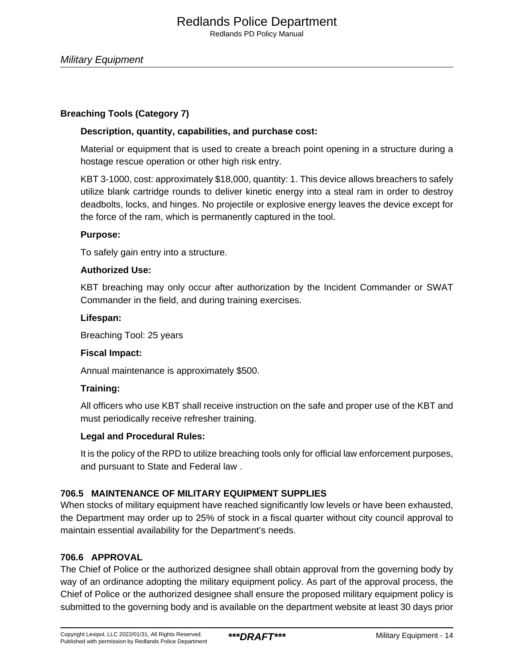# **Breaching Tools (Category 7)**

# **Description, quantity, capabilities, and purchase cost:**

Material or equipment that is used to create a breach point opening in a structure during a hostage rescue operation or other high risk entry.

KBT 3-1000, cost: approximately \$18,000, quantity: 1. This device allows breachers to safely utilize blank cartridge rounds to deliver kinetic energy into a steal ram in order to destroy deadbolts, locks, and hinges. No projectile or explosive energy leaves the device except for the force of the ram, which is permanently captured in the tool.

#### **Purpose:**

To safely gain entry into a structure.

# **Authorized Use:**

KBT breaching may only occur after authorization by the Incident Commander or SWAT Commander in the field, and during training exercises.

#### **Lifespan:**

Breaching Tool: 25 years

#### **Fiscal Impact:**

Annual maintenance is approximately \$500.

#### **Training:**

All officers who use KBT shall receive instruction on the safe and proper use of the KBT and must periodically receive refresher training.

# **Legal and Procedural Rules:**

It is the policy of the RPD to utilize breaching tools only for official law enforcement purposes, and pursuant to State and Federal law .

# **706.5 MAINTENANCE OF MILITARY EQUIPMENT SUPPLIES**

When stocks of military equipment have reached significantly low levels or have been exhausted, the Department may order up to 25% of stock in a fiscal quarter without city council approval to maintain essential availability for the Department's needs.

# **706.6 APPROVAL**

The Chief of Police or the authorized designee shall obtain approval from the governing body by way of an ordinance adopting the military equipment policy. As part of the approval process, the Chief of Police or the authorized designee shall ensure the proposed military equipment policy is submitted to the governing body and is available on the department website at least 30 days prior